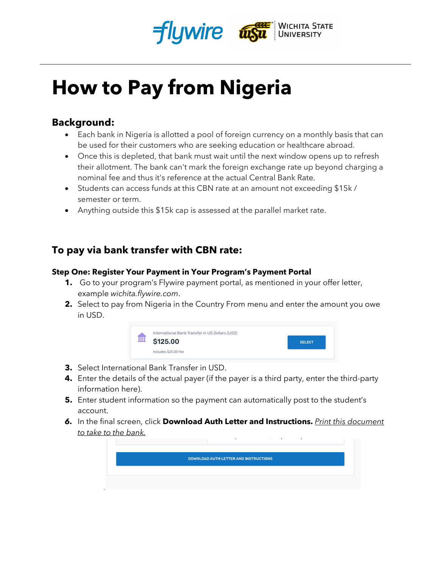



# **How to Pay from Nigeria**

### **Background:**

- Each bank in Nigeria is allotted a pool of foreign currency on a monthly basis that can be used for their customers who are seeking education or healthcare abroad.
- Once this is depleted, that bank must wait until the next window opens up to refresh their allotment. The bank can't mark the foreign exchange rate up beyond charging a nominal fee and thus it's reference at the actual Central Bank Rate.
- Students can access funds at this CBN rate at an amount not exceeding \$15k / semester or term.
- Anything outside this \$15k cap is assessed at the parallel market rate.

# **To pay via bank transfer with CBN rate:**

#### **Step One: Register Your Payment in Your Program's Payment Portal**

- **1.** Go to your program's Flywire payment portal, as mentioned in your offer letter, example *wichita.flywire.com*.
- **2.** Select to pay from Nigeria in the Country From menu and enter the amount you owe in USD.



- **3.** Select International Bank Transfer in USD.
- **4.** Enter the details of the actual payer (if the payer is a third party, enter the third-party information here).
- **5.** Enter student information so the payment can automatically post to the student's account.
- *6.* In the final screen, click **Download Auth Letter and Instructions.** *Print this document to take to the bank.*

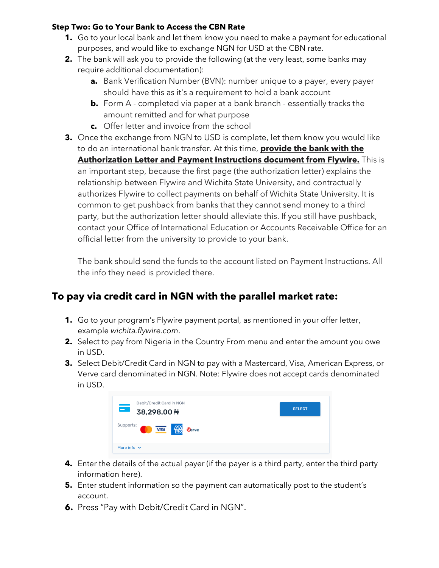#### **Step Two: Go to Your Bank to Access the CBN Rate**

- **1.** Go to your local bank and let them know you need to make a payment for educational purposes, and would like to exchange NGN for USD at the CBN rate.
- **2.** The bank will ask you to provide the following (at the very least, some banks may require additional documentation):
	- **a.** Bank Verification Number (BVN): number unique to a payer, every payer should have this as it's a requirement to hold a bank account
	- **b.** Form A completed via paper at a bank branch essentially tracks the amount remitted and for what purpose
	- **c.** Offer letter and invoice from the school
- **3.** Once the exchange from NGN to USD is complete, let them know you would like to do an international bank transfer. At this time, **provide the bank with the Authorization Letter and Payment Instructions document from Flywire.** This is an important step, because the first page (the authorization letter) explains the relationship between Flywire and Wichita State University, and contractually authorizes Flywire to collect payments on behalf of Wichita State University. It is common to get pushback from banks that they cannot send money to a third party, but the authorization letter should alleviate this. If you still have pushback, contact your Office of International Education or Accounts Receivable Office for an official letter from the university to provide to your bank.

The bank should send the funds to the account listed on Payment Instructions. All the info they need is provided there.

## **To pay via credit card in NGN with the parallel market rate:**

- **1.** Go to your program's Flywire payment portal, as mentioned in your offer letter, example *wichita.flywire.com*.
- **2.** Select to pay from Nigeria in the Country From menu and enter the amount you owe in USD.
- **3.** Select Debit/Credit Card in NGN to pay with a Mastercard, Visa, American Express, or Verve card denominated in NGN. Note: Flywire does not accept cards denominated in USD.

| Debit/Credit Card in NGN<br>$\equiv$<br>38,298.00 #                                                                                                                                                   | <b>SELECT</b> |
|-------------------------------------------------------------------------------------------------------------------------------------------------------------------------------------------------------|---------------|
| Supports:<br>$\sqrt{VISA}$ $\left\{\begin{array}{c}\begin{array}{c}\begin{array}{c}\begin{array}{c}\begin{array}{c}\end{array}\\ \end{array}\\ \end{array}\right\}\end{array}\right.$<br><b>Verve</b> |               |
| More info $\sim$                                                                                                                                                                                      |               |

- **4.** Enter the details of the actual payer (if the payer is a third party, enter the third party information here).
- **5.** Enter student information so the payment can automatically post to the student's account.
- **6.** Press "Pay with Debit/Credit Card in NGN".